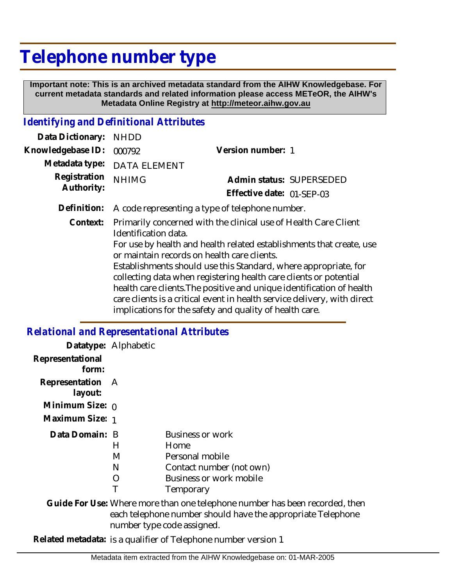## **Telephone number type**

 **Important note: This is an archived metadata standard from the AIHW Knowledgebase. For current metadata standards and related information please access METeOR, the AIHW's Metadata Online Registry at http://meteor.aihw.gov.au**

## *Identifying and Definitional Attributes*

| Data Dictionary:           | <b>NHDD</b>                                                                                                                                                                                                                                                                                                                                                                                                                                                                                                                                                            |                           |                          |
|----------------------------|------------------------------------------------------------------------------------------------------------------------------------------------------------------------------------------------------------------------------------------------------------------------------------------------------------------------------------------------------------------------------------------------------------------------------------------------------------------------------------------------------------------------------------------------------------------------|---------------------------|--------------------------|
| Knowledgebase ID:          | 000792                                                                                                                                                                                                                                                                                                                                                                                                                                                                                                                                                                 | Version number: 1         |                          |
| Metadata type:             | <b>DATA ELEMENT</b>                                                                                                                                                                                                                                                                                                                                                                                                                                                                                                                                                    |                           |                          |
| Registration<br>Authority: | <b>NHIMG</b>                                                                                                                                                                                                                                                                                                                                                                                                                                                                                                                                                           |                           | Admin status: SUPERSEDED |
|                            |                                                                                                                                                                                                                                                                                                                                                                                                                                                                                                                                                                        | Effective date: 01-SEP-03 |                          |
| Definition:                | A code representing a type of telephone number.                                                                                                                                                                                                                                                                                                                                                                                                                                                                                                                        |                           |                          |
| Context:                   | Primarily concerned with the clinical use of Health Care Client<br>Identification data.<br>For use by health and health related establishments that create, use<br>or maintain records on health care clients.<br>Establishments should use this Standard, where appropriate, for<br>collecting data when registering health care clients or potential<br>health care clients. The positive and unique identification of health<br>care clients is a critical event in health service delivery, with direct<br>implications for the safety and quality of health care. |                           |                          |

## *Relational and Representational Attributes*

|                             | Datatype: Alphabetic |                                                                                                                                            |
|-----------------------------|----------------------|--------------------------------------------------------------------------------------------------------------------------------------------|
| Representational<br>form:   |                      |                                                                                                                                            |
| Representation A<br>layout: |                      |                                                                                                                                            |
| Minimum Size: $\rho$        |                      |                                                                                                                                            |
| Maximum Size: 1             |                      |                                                                                                                                            |
| Data Domain: B              |                      | Business or work                                                                                                                           |
|                             | Н                    | Home                                                                                                                                       |
|                             | M                    | Personal mobile                                                                                                                            |
|                             | N                    | Contact number (not own)                                                                                                                   |
|                             | $\left( \right)$     | Business or work mobile                                                                                                                    |
|                             |                      | Temporary                                                                                                                                  |
|                             |                      | Guide For Use: Where more than one telephone number has been recorded, then<br>each telephone number should have the appropriate Telephone |

number type code assigned.

**Related metadata:** is a qualifier of Telephone number version 1